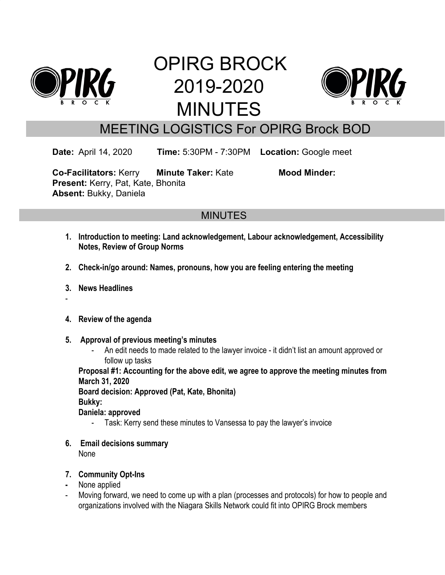

# OPIRG BROCK 2019-2020 MINUTES



# MEETING LOGISTICS For OPIRG Brock BOD

**Date:** April 14, 2020 **Time:** 5:30PM - 7:30PM **Location:** Google meet

**Co-Facilitators:** Kerry **Minute Taker:** Kate **Mood Minder: Present:** Kerry, Pat, Kate, Bhonita **Absent:** Bukky, Daniela

# **MINUTES**

- **1. Introduction to meeting: Land acknowledgement, Labour acknowledgement, Accessibility Notes, Review of Group Norms**
- **2. Check-in/go around: Names, pronouns, how you are feeling entering the meeting**
- **3. News Headlines**
- -
- **4. Review of the agenda**
- **5. Approval of previous meeting's minutes**
	- An edit needs to made related to the lawyer invoice it didn't list an amount approved or follow up tasks

**Proposal #1: Accounting for the above edit, we agree to approve the meeting minutes from March 31, 2020**

**Board decision: Approved (Pat, Kate, Bhonita)**

**Bukky:**

**Daniela: approved**

- Task: Kerry send these minutes to Vansessa to pay the lawyer's invoice
- **6. Email decisions summary** None
- **7. Community Opt-Ins**
- **-** None applied
- Moving forward, we need to come up with a plan (processes and protocols) for how to people and organizations involved with the Niagara Skills Network could fit into OPIRG Brock members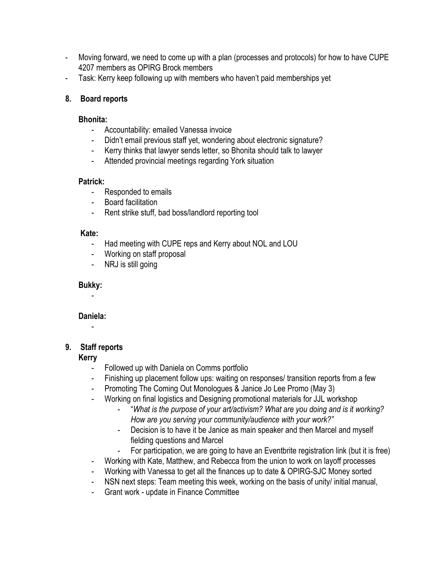- Moving forward, we need to come up with a plan (processes and protocols) for how to have CUPE 4207 members as OPIRG Brock members
- Task: Kerry keep following up with members who haven't paid memberships yet

#### **8. Board reports**

#### **Bhonita:**

- Accountability: emailed Vanessa invoice
- Didn't email previous staff yet, wondering about electronic signature?
- Kerry thinks that lawyer sends letter, so Bhonita should talk to lawyer
- Attended provincial meetings regarding York situation

#### **Patrick:**

- Responded to emails
- Board facilitation
- Rent strike stuff, bad boss/landlord reporting tool

#### **Kate:**

- Had meeting with CUPE reps and Kerry about NOL and LOU
- Working on staff proposal
- NRJ is still going

#### **Bukky:**

-

#### **Daniela:**

-

### **9. Staff reports**

#### **Kerry**

- Followed up with Daniela on Comms portfolio
- Finishing up placement follow ups: waiting on responses/ transition reports from a few
- Promoting The Coming Out Monologues & Janice Jo Lee Promo (May 3)
- Working on final logistics and Designing promotional materials for JJL workshop
	- "*What is the purpose of your art/activism? What are you doing and is it working? How are you serving your community/audience with your work?"*
	- Decision is to have it be Janice as main speaker and then Marcel and myself fielding questions and Marcel
	- For participation, we are going to have an Eventbrite registration link (but it is free)
- Working with Kate, Matthew, and Rebecca from the union to work on layoff processes
- Working with Vanessa to get all the finances up to date & OPIRG-SJC Money sorted
- NSN next steps: Team meeting this week, working on the basis of unity/ initial manual,
- Grant work update in Finance Committee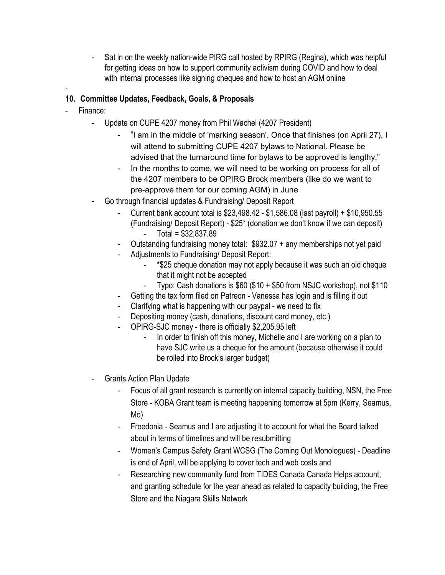- Sat in on the weekly nation-wide PIRG call hosted by RPIRG (Regina), which was helpful for getting ideas on how to support community activism during COVID and how to deal with internal processes like signing cheques and how to host an AGM online

#### -

#### **10. Committee Updates, Feedback, Goals, & Proposals**

- Finance:
	- Update on CUPE 4207 money from Phil Wachel (4207 President)
		- "I am in the middle of 'marking season'. Once that finishes (on April 27), I will attend to submitting CUPE 4207 bylaws to National. Please be advised that the turnaround time for bylaws to be approved is lengthy."
		- In the months to come, we will need to be working on process for all of the 4207 members to be OPIRG Brock members (like do we want to pre-approve them for our coming AGM) in June
	- Go through financial updates & Fundraising/ Deposit Report
		- Current bank account total is \$23,498.42 \$1,586.08 (last payroll) + \$10,950.55 (Fundraising/ Deposit Report) - \$25\* (donation we don't know if we can deposit) - Total = \$32,837.89
		- Outstanding fundraising money total: \$932.07 + any memberships not yet paid
		- Adjustments to Fundraising/ Deposit Report:
			- \*\$25 cheque donation may not apply because it was such an old cheque that it might not be accepted
			- Typo: Cash donations is \$60 (\$10 + \$50 from NSJC workshop), not \$110
			- Getting the tax form filed on Patreon Vanessa has login and is filling it out
		- Clarifying what is happening with our paypal we need to fix
		- Depositing money (cash, donations, discount card money, etc.)
		- OPIRG-SJC money there is officially \$2,205.95 left
			- In order to finish off this money, Michelle and I are working on a plan to have SJC write us a cheque for the amount (because otherwise it could be rolled into Brock's larger budget)
	- Grants Action Plan Update
		- Focus of all grant research is currently on internal capacity building, NSN, the Free Store - KOBA Grant team is meeting happening tomorrow at 5pm (Kerry, Seamus, Mo)
		- Freedonia Seamus and I are adjusting it to account for what the Board talked about in terms of timelines and will be resubmitting
		- Women's Campus Safety Grant WCSG (The Coming Out Monologues) Deadline is end of April, will be applying to cover tech and web costs and
		- Researching new community fund from TIDES Canada Canada Helps account, and granting schedule for the year ahead as related to capacity building, the Free Store and the Niagara Skills Network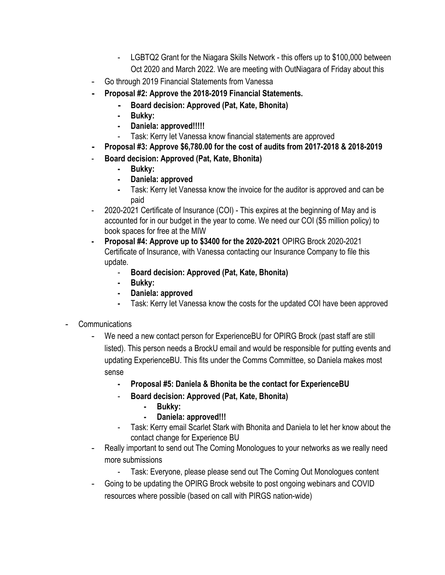- LGBTQ2 Grant for the Niagara Skills Network this offers up to \$100,000 between Oct 2020 and March 2022. We are meeting with OutNiagara of Friday about this
- Go through 2019 Financial Statements from Vanessa
- **- Proposal #2: Approve the 2018-2019 Financial Statements.**
	- **- Board decision: Approved (Pat, Kate, Bhonita)**
	- **- Bukky:**
	- **- Daniela: approved!!!!!**
	- Task: Kerry let Vanessa know financial statements are approved
- **- Proposal #3: Approve \$6,780.00 for the cost of audits from 2017-2018 & 2018-2019**
- **Board decision: Approved (Pat, Kate, Bhonita)**
	- **- Bukky:**
	- **- Daniela: approved**
	- **-** Task: Kerry let Vanessa know the invoice for the auditor is approved and can be paid
- 2020-2021 Certificate of Insurance (COI) This expires at the beginning of May and is accounted for in our budget in the year to come. We need our COI (\$5 million policy) to book spaces for free at the MIW
- **- Proposal #4: Approve up to \$3400 for the 2020-2021** OPIRG Brock 2020-2021 Certificate of Insurance, with Vanessa contacting our Insurance Company to file this update.
	- **Board decision: Approved (Pat, Kate, Bhonita)**
	- **- Bukky:**
	- **- Daniela: approved**
	- **-** Task: Kerry let Vanessa know the costs for the updated COI have been approved
- **Communications** 
	- We need a new contact person for ExperienceBU for OPIRG Brock (past staff are still listed). This person needs a BrockU email and would be responsible for putting events and updating ExperienceBU. This fits under the Comms Committee, so Daniela makes most sense
		- **- Proposal #5: Daniela & Bhonita be the contact for ExperienceBU**
		- **Board decision: Approved (Pat, Kate, Bhonita)**
			- **- Bukky:**
			- **- Daniela: approved!!!**
		- Task: Kerry email Scarlet Stark with Bhonita and Daniela to let her know about the contact change for Experience BU
	- Really important to send out The Coming Monologues to your networks as we really need more submissions
		- Task: Everyone, please please send out The Coming Out Monologues content
	- Going to be updating the OPIRG Brock website to post ongoing webinars and COVID resources where possible (based on call with PIRGS nation-wide)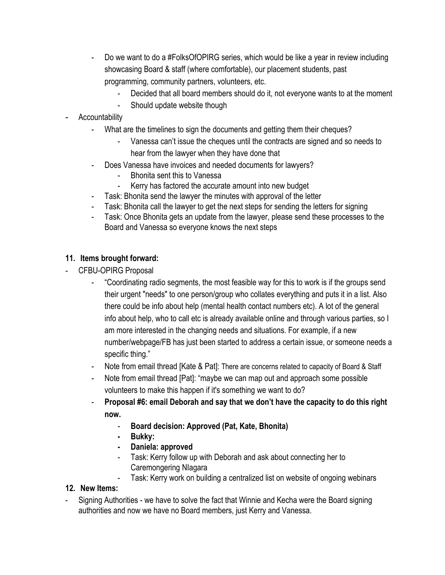- Do we want to do a #FolksOfOPIRG series, which would be like a year in review including showcasing Board & staff (where comfortable), our placement students, past programming, community partners, volunteers, etc.
	- Decided that all board members should do it, not everyone wants to at the moment
	- Should update website though
- **Accountability** 
	- What are the timelines to sign the documents and getting them their cheques?
		- Vanessa can't issue the cheques until the contracts are signed and so needs to hear from the lawyer when they have done that
	- Does Vanessa have invoices and needed documents for lawyers?
		- Bhonita sent this to Vanessa
		- Kerry has factored the accurate amount into new budget
	- Task: Bhonita send the lawyer the minutes with approval of the letter
	- Task: Bhonita call the lawyer to get the next steps for sending the letters for signing
	- Task: Once Bhonita gets an update from the lawyer, please send these processes to the Board and Vanessa so everyone knows the next steps

#### **11. Items brought forward:**

- CFBU-OPIRG Proposal
	- "Coordinating radio segments, the most feasible way for this to work is if the groups send their urgent "needs" to one person/group who collates everything and puts it in a list. Also there could be info about help (mental health contact numbers etc). A lot of the general info about help, who to call etc is already available online and through various parties, so I am more interested in the changing needs and situations. For example, if a new number/webpage/FB has just been started to address a certain issue, or someone needs a specific thing."
	- Note from email thread [Kate & Pat]: There are concerns related to capacity of Board & Staff
	- Note from email thread [Pat]: "maybe we can map out and approach some possible volunteers to make this happen if it's something we want to do?
	- **Proposal #6: email Deborah and say that we don't have the capacity to do this right now.**
		- **Board decision: Approved (Pat, Kate, Bhonita)**
		- **- Bukky:**
		- **- Daniela: approved**
		- Task: Kerry follow up with Deborah and ask about connecting her to Caremongering NIagara
			- Task: Kerry work on building a centralized list on website of ongoing webinars

#### **12. New Items:**

- Signing Authorities - we have to solve the fact that Winnie and Kecha were the Board signing authorities and now we have no Board members, just Kerry and Vanessa.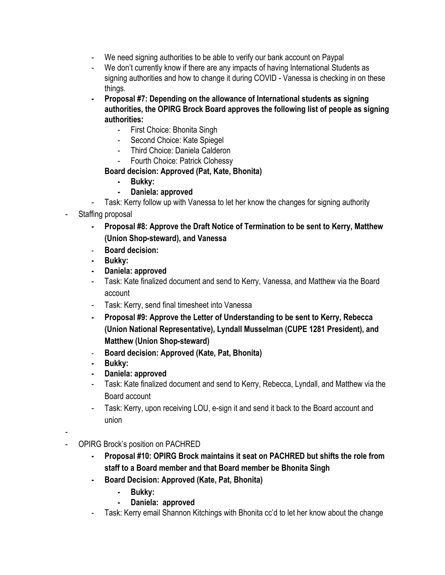- We need signing authorities to be able to verify our bank account on Paypal
- We don't currently know if there are any impacts of having International Students as signing authorities and how to change it during COVID - Vanessa is checking in on these things.
- **- Proposal #7: Depending on the allowance of International students as signing authorities, the OPIRG Brock Board approves the following list of people as signing authorities:**
	- First Choice: Bhonita Singh
	- Second Choice: Kate Spiegel
	- Third Choice: Daniela Calderon
	- Fourth Choice: Patrick Clohessy

#### **Board decision: Approved (Pat, Kate, Bhonita)**

- **- Bukky:**
- **- Daniela: approved**
- Task: Kerry follow up with Vanessa to let her know the changes for signing authority
- Staffing proposal
	- **- Proposal #8: Approve the Draft Notice of Termination to be sent to Kerry, Matthew (Union Shop-steward), and Vanessa**
	- **Board decision:**
	- **- Bukky:**
	- **- Daniela: approved**
	- Task: Kate finalized document and send to Kerry, Vanessa, and Matthew via the Board account
	- Task: Kerry, send final timesheet into Vanessa
	- **- Proposal #9: Approve the Letter of Understanding to be sent to Kerry, Rebecca (Union National Representative), Lyndall Musselman (CUPE 1281 President), and Matthew (Union Shop-steward)**
	- **Board decision: Approved (Kate, Pat, Bhonita)**
	- **- Bukky:**
	- **- Daniela: approved**
	- Task: Kate finalized document and send to Kerry, Rebecca, Lyndall, and Matthew via the Board account
	- Task: Kerry, upon receiving LOU, e-sign it and send it back to the Board account and union
- - OPIRG Brock's position on PACHRED
		- **- Proposal #10: OPIRG Brock maintains it seat on PACHRED but shifts the role from staff to a Board member and that Board member be Bhonita Singh**
		- **- Board Decision: Approved (Kate, Pat, Bhonita)**
			- **- Bukky:**
			- **- Daniela: approved**
		- Task: Kerry email Shannon Kitchings with Bhonita cc'd to let her know about the change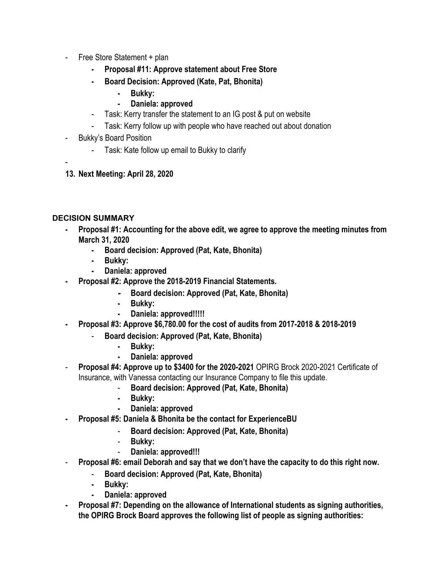- Free Store Statement + plan
	- **- Proposal #11: Approve statement about Free Store**
	- **- Board Decision: Approved (Kate, Pat, Bhonita)**
		- **- Bukky:**
		- **- Daniela: approved**
	- Task: Kerry transfer the statement to an IG post & put on website
	- Task: Kerry follow up with people who have reached out about donation
- Bukky's Board Position
	- Task: Kate follow up email to Bukky to clarify
- -
- **13. Next Meeting: April 28, 2020**

#### **DECISION SUMMARY**

- **- Proposal #1: Accounting for the above edit, we agree to approve the meeting minutes from March 31, 2020**
	- **- Board decision: Approved (Pat, Kate, Bhonita)**
	- **- Bukky:**
	- **- Daniela: approved**
- **- Proposal #2: Approve the 2018-2019 Financial Statements.**
	- **- Board decision: Approved (Pat, Kate, Bhonita)**
	- **- Bukky:**
	- **- Daniela: approved!!!!!**
- **- Proposal #3: Approve \$6,780.00 for the cost of audits from 2017-2018 & 2018-2019**
	- **Board decision: Approved (Pat, Kate, Bhonita)**
		- **- Bukky:**
		- **- Daniela: approved**
- **Proposal #4: Approve up to \$3400 for the 2020-2021** OPIRG Brock 2020-2021 Certificate of Insurance, with Vanessa contacting our Insurance Company to file this update.
	- **Board decision: Approved (Pat, Kate, Bhonita)**
	- **- Bukky:**
	- **- Daniela: approved**
- **- Proposal #5: Daniela & Bhonita be the contact for ExperienceBU**
	- **Board decision: Approved (Pat, Kate, Bhonita)**
	- **Bukky:**
	- **Daniela: approved!!!**
- **Proposal #6: email Deborah and say that we don't have the capacity to do this right now.**
	- **Board decision: Approved (Pat, Kate, Bhonita)**
	- **- Bukky:**
	- **- Daniela: approved**
- **- Proposal #7: Depending on the allowance of International students as signing authorities, the OPIRG Brock Board approves the following list of people as signing authorities:**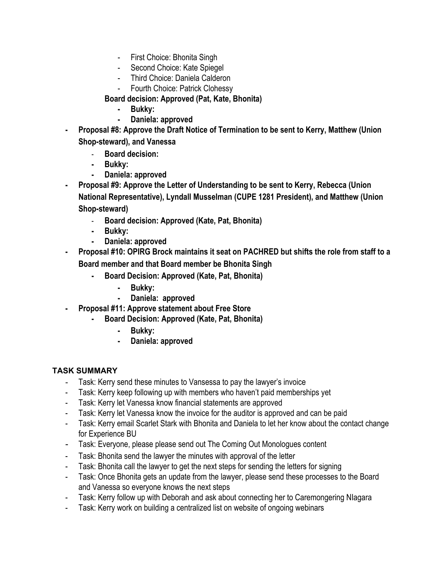- First Choice: Bhonita Singh
- Second Choice: Kate Spiegel
- Third Choice: Daniela Calderon
- Fourth Choice: Patrick Clohessy
- **Board decision: Approved (Pat, Kate, Bhonita)**
	- **- Bukky:**
	- **- Daniela: approved**
- **- Proposal #8: Approve the Draft Notice of Termination to be sent to Kerry, Matthew (Union Shop-steward), and Vanessa**
	- **Board decision:**
	- **- Bukky:**
	- **- Daniela: approved**
- **- Proposal #9: Approve the Letter of Understanding to be sent to Kerry, Rebecca (Union National Representative), Lyndall Musselman (CUPE 1281 President), and Matthew (Union Shop-steward)**
	- **Board decision: Approved (Kate, Pat, Bhonita)**
	- **- Bukky:**
	- **- Daniela: approved**
- **- Proposal #10: OPIRG Brock maintains it seat on PACHRED but shifts the role from staff to a Board member and that Board member be Bhonita Singh**
	- **- Board Decision: Approved (Kate, Pat, Bhonita)**
		- **- Bukky:**
		- **- Daniela: approved**
	- **- Proposal #11: Approve statement about Free Store**
		- **- Board Decision: Approved (Kate, Pat, Bhonita)**
			- **- Bukky:**
			- **- Daniela: approved**

#### **TASK SUMMARY**

- Task: Kerry send these minutes to Vansessa to pay the lawyer's invoice
- Task: Kerry keep following up with members who haven't paid memberships yet
- Task: Kerry let Vanessa know financial statements are approved
- Task: Kerry let Vanessa know the invoice for the auditor is approved and can be paid
- Task: Kerry email Scarlet Stark with Bhonita and Daniela to let her know about the contact change for Experience BU
- Task: Everyone, please please send out The Coming Out Monologues content
- Task: Bhonita send the lawyer the minutes with approval of the letter
- Task: Bhonita call the lawyer to get the next steps for sending the letters for signing
- Task: Once Bhonita gets an update from the lawyer, please send these processes to the Board and Vanessa so everyone knows the next steps
- Task: Kerry follow up with Deborah and ask about connecting her to Caremongering NIagara
- Task: Kerry work on building a centralized list on website of ongoing webinars